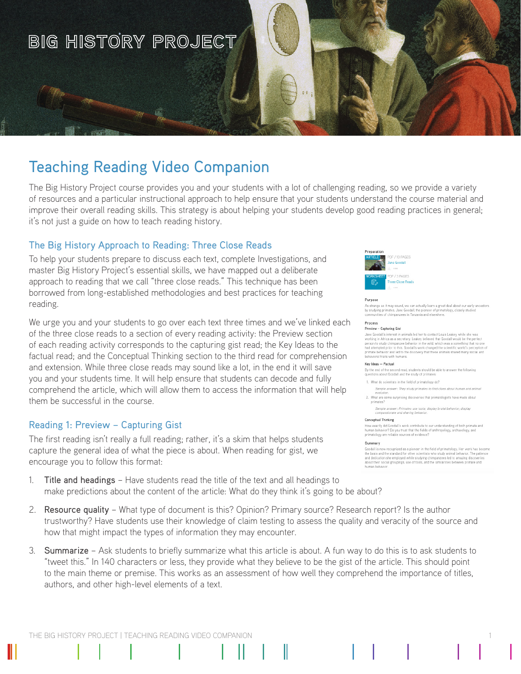

# Teaching Reading Video Companion

The Big History Project course provides you and your students with a lot of challenging reading, so we provide a variety of resources and a particular instructional approach to help ensure that your students understand the course material and improve their overall reading skills. This strategy is about helping your students develop good reading practices in general; it's not just a guide on how to teach reading history.

# The Big History Approach to Reading: Three Close Reads

To help your students prepare to discuss each text, complete Investigations, and master Big History Project's essential skills, we have mapped out a deliberate approach to reading that we call "three close reads." This technique has been borrowed from long-established methodologies and best practices for teaching reading.

We urge you and your students to go over each text three times and we've linked each of the three close reads to a section of every reading activity: the Preview section of each reading activity corresponds to the capturing gist read; the Key Ideas to the factual read; and the Conceptual Thinking section to the third read for comprehension and extension. While three close reads may sound like a lot, in the end it will save you and your students time. It will help ensure that students can decode and fully comprehend the article, which will allow them to access the information that will help them be successful in the course.

## Reading 1: Preview – Capturing Gist

The first reading isn't really a full reading; rather, it's a skim that helps students capture the general idea of what the piece is about. When reading for gist, we encourage you to follow this format:

- 1. Title and headings Have students read the title of the text and all headings to make predictions about the content of the article: What do they think it's going to be about?
- 2. Resource quality What type of document is this? Opinion? Primary source? Research report? Is the author trustworthy? Have students use their knowledge of claim testing to assess the quality and veracity of the source and how that might impact the types of information they may encounter.
- 3. Summarize Ask students to briefly summarize what this article is about. A fun way to do this is to ask students to "tweet this." In 140 characters or less, they provide what they believe to be the gist of the article. This should point to the main theme or premise. This works as an assessment of how well they comprehend the importance of titles, authors, and other high-level elements of a text.



### Purpose

.<br>As strange as it may sound, we can actually learn a great deal about our early ancestors<br>by studying primates. Jane Goodall, the pioneer of primatology, closely studied<br>communities of chimpanzees in Tanzania and elsewher

#### Process Preview - Capturing Gist

Jane Goodall's interest in animals led her to contact Louis Leakey while she was working in Africa as a secretary. Leakey believed that Goodall would be the perfers on to study chire and person to study chire and person to g that no on ag attempteg<br>rimate behav or and led to the disc cuary that these animals shared m ny social and behavioral traits with humans

### Key Ideas - Factual

By the end of the second read, students should be able to answer the following questions about Goodall and the study of primates

1. What do scientists in the field of primatology do?

- Sample answer: They study primates to find clues about h
- 2. What are some surprising discoveries that primatologists have made about<br>primates?

Sample answer: Primates use tools; display brutal behavior; display<br>compassionate and sharing behavior.

### Conceptual Thinking

How exactly did Goodall's work contribute to our understanding of both primate and<br>human behavior? Do you trust that the fields of anthropology, archaeology, and primatology are reliable sources of evidence?

### Summary

.<br>ognized as a pioneer in the field of primatology. Her work has becor<br>standard for other scientists who study animal behavior. The patienc<br>: employed while studying chimpanzees led to amazing discoveries Goodall is on the hasis and the standard for other scie nd dedication she employed while studying ch and dedication site employed while studying chimparizees ted to amazin human hehavin

THE BIG HISTORY PROJECT | TEACHING READING VIDEO COMPANION 1

Ш